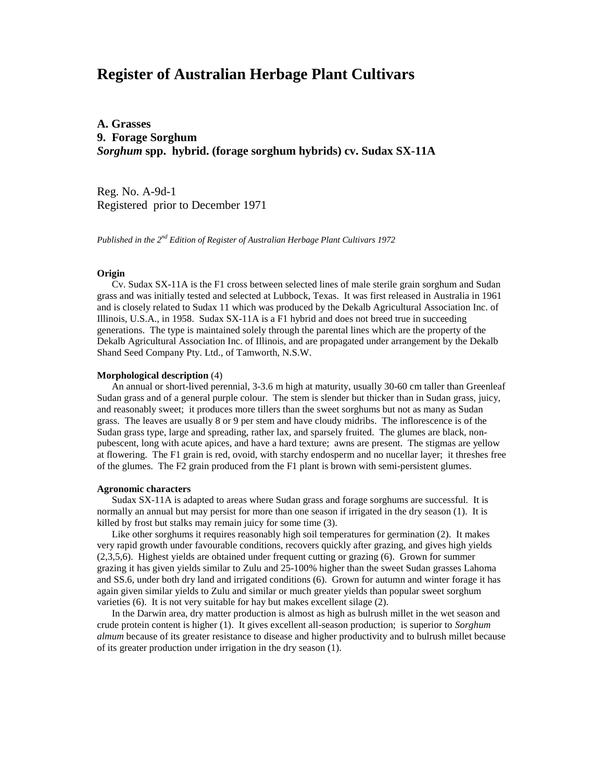# **Register of Australian Herbage Plant Cultivars**

**A. Grasses 9. Forage Sorghum** *Sorghum* **spp. hybrid. (forage sorghum hybrids) cv. Sudax SX-11A**

Reg. No. A-9d-1 Registered prior to December 1971

*Published in the 2nd Edition of Register of Australian Herbage Plant Cultivars 1972*

#### **Origin**

 Cv. Sudax SX-11A is the F1 cross between selected lines of male sterile grain sorghum and Sudan grass and was initially tested and selected at Lubbock, Texas. It was first released in Australia in 1961 and is closely related to Sudax 11 which was produced by the Dekalb Agricultural Association Inc. of Illinois, U.S.A., in 1958. Sudax SX-11A is a F1 hybrid and does not breed true in succeeding generations. The type is maintained solely through the parental lines which are the property of the Dekalb Agricultural Association Inc. of Illinois, and are propagated under arrangement by the Dekalb Shand Seed Company Pty. Ltd., of Tamworth, N.S.W.

### **Morphological description** (4)

 An annual or short-lived perennial, 3-3.6 m high at maturity, usually 30-60 cm taller than Greenleaf Sudan grass and of a general purple colour. The stem is slender but thicker than in Sudan grass, juicy, and reasonably sweet; it produces more tillers than the sweet sorghums but not as many as Sudan grass. The leaves are usually 8 or 9 per stem and have cloudy midribs. The inflorescence is of the Sudan grass type, large and spreading, rather lax, and sparsely fruited. The glumes are black, nonpubescent, long with acute apices, and have a hard texture; awns are present. The stigmas are yellow at flowering. The F1 grain is red, ovoid, with starchy endosperm and no nucellar layer; it threshes free of the glumes. The F2 grain produced from the F1 plant is brown with semi-persistent glumes.

### **Agronomic characters**

 Sudax SX-11A is adapted to areas where Sudan grass and forage sorghums are successful. It is normally an annual but may persist for more than one season if irrigated in the dry season (1). It is killed by frost but stalks may remain juicy for some time (3).

 Like other sorghums it requires reasonably high soil temperatures for germination (2). It makes very rapid growth under favourable conditions, recovers quickly after grazing, and gives high yields (2,3,5,6). Highest yields are obtained under frequent cutting or grazing (6). Grown for summer grazing it has given yields similar to Zulu and 25-100% higher than the sweet Sudan grasses Lahoma and SS.6, under both dry land and irrigated conditions (6). Grown for autumn and winter forage it has again given similar yields to Zulu and similar or much greater yields than popular sweet sorghum varieties (6). It is not very suitable for hay but makes excellent silage (2).

 In the Darwin area, dry matter production is almost as high as bulrush millet in the wet season and crude protein content is higher (1). It gives excellent all-season production; is superior to *Sorghum almum* because of its greater resistance to disease and higher productivity and to bulrush millet because of its greater production under irrigation in the dry season (1).